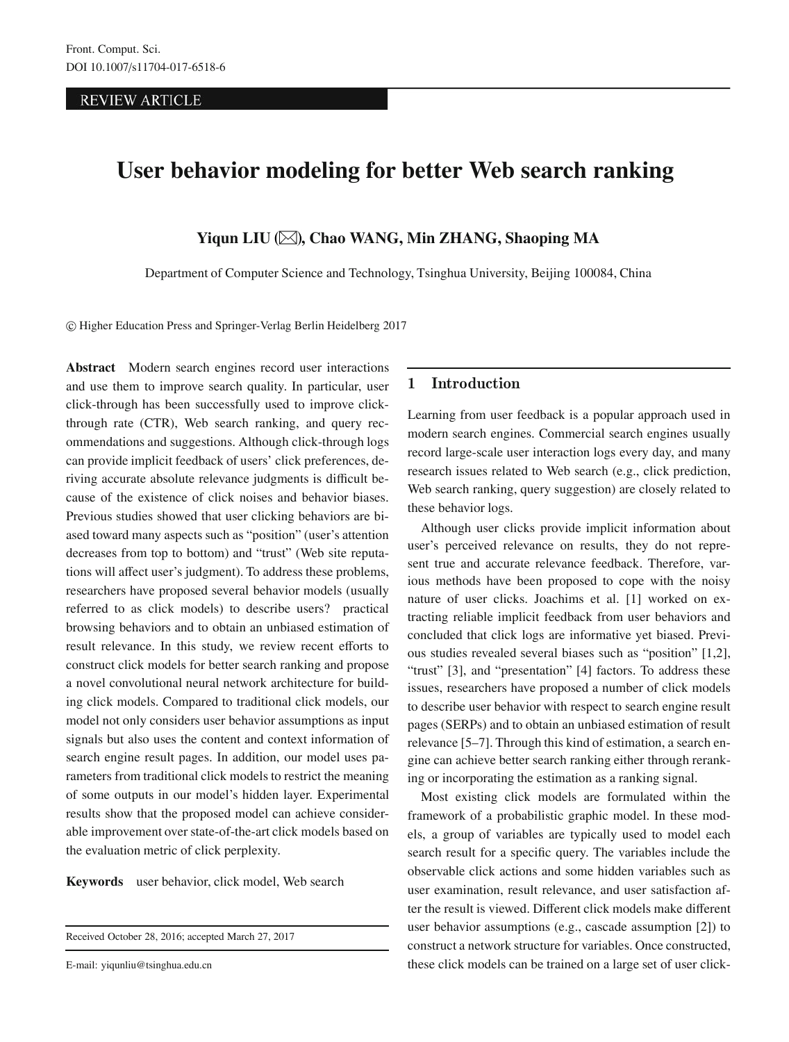# **REVIEW ARTICLE**

# **User behavior modeling for better Web search ranking**

Yigun LIU ( $\boxtimes$ ), Chao WANG, Min ZHANG, Shaoping MA

Department of Computer Science and Technology, Tsinghua University, Beijing 100084, China

-c Higher Education Press and Springer-Verlag Berlin Heidelberg 2017

**Abstract** Modern search engines record user interactions and use them to improve search quality. In particular, user click-through has been successfully used to improve clickthrough rate (CTR), Web search ranking, and query recommendations and suggestions. Although click-through logs can provide implicit feedback of users' click preferences, deriving accurate absolute relevance judgments is difficult because of the existence of click noises and behavior biases. Previous studies showed that user clicking behaviors are biased toward many aspects such as "position" (user's attention decreases from top to bottom) and "trust" (Web site reputations will affect user's judgment). To address these problems, researchers have proposed several behavior models (usually referred to as click models) to describe users? practical browsing behaviors and to obtain an unbiased estimation of result relevance. In this study, we review recent efforts to construct click models for better search ranking and propose a novel convolutional neural network architecture for building click models. Compared to traditional click models, our model not only considers user behavior assumptions as input signals but also uses the content and context information of search engine result pages. In addition, our model uses parameters from traditional click models to restrict the meaning of some outputs in our model's hidden layer. Experimental results show that the proposed model can achieve considerable improvement over state-of-the-art click models based on the evaluation metric of click perplexity.

**Keywords** user behavior, click model, Web search

# **1 Introduction**

Learning from user feedback is a popular approach used in modern search engines. Commercial search engines usually record large-scale user interaction logs every day, and many research issues related to Web search (e.g., click prediction, Web search ranking, query suggestion) are closely related to these behavior logs.

Although user clicks provide implicit information about user's perceived relevance on results, they do not represent true and accurate relevance feedback. Therefore, various methods have been proposed to cope with the noisy nature of user clicks. Joachims et al. [1] worked on extracting reliable implicit feedback from user behaviors and concluded that click logs are informative yet biased. Previous studies revealed several biases such as "position" [1,2], "trust" [3], and "presentation" [4] factors. To address these issues, researchers have proposed a number of click models to describe user behavior with respect to search engine result pages (SERPs) and to obtain an unbiased estimation of result relevance [5–7]. Through this kind of estimation, a search engine can achieve better search ranking either through reranking or incorporating the estimation as a ranking signal.

Most existing click models are formulated within the framework of a probabilistic graphic model. In these models, a group of variables are typically used to model each search result for a specific query. The variables include the observable click actions and some hidden variables such as user examination, result relevance, and user satisfaction after the result is viewed. Different click models make different user behavior assumptions (e.g., cascade assumption [2]) to construct a network structure for variables. Once constructed, these click models can be trained on a large set of user click-

Received October 28, 2016; accepted March 27, 2017

E-mail: yiqunliu@tsinghua.edu.cn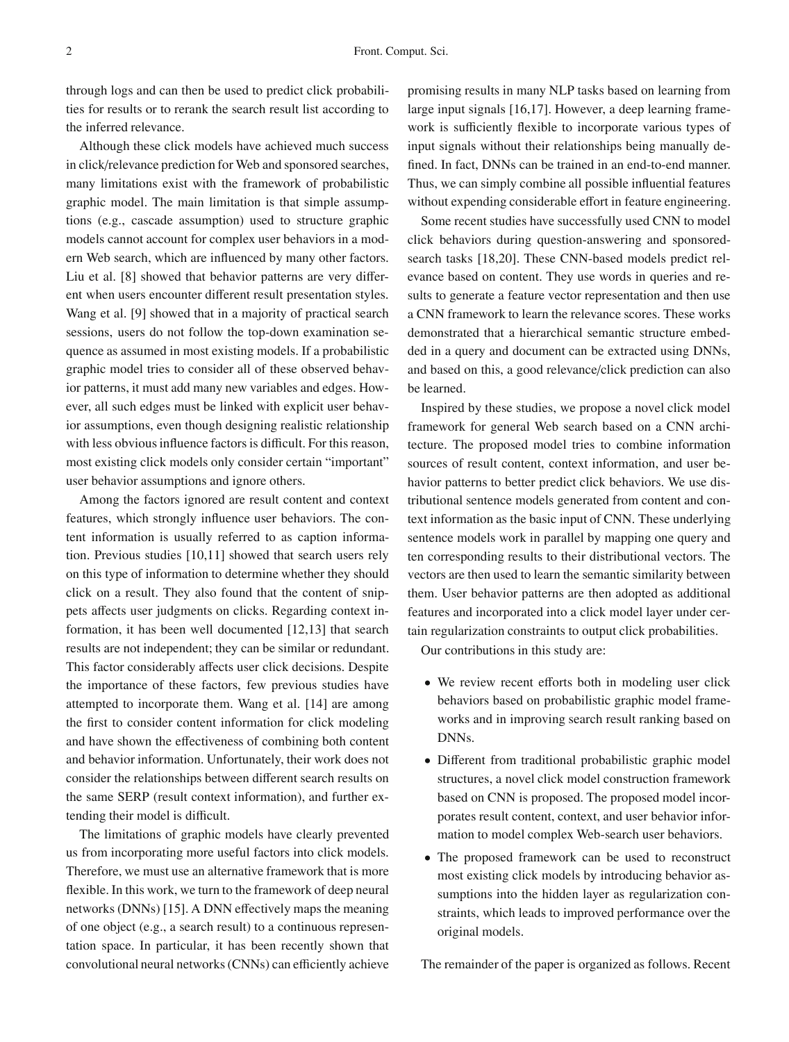through logs and can then be used to predict click probabilities for results or to rerank the search result list according to the inferred relevance.

Although these click models have achieved much success in click/relevance prediction for Web and sponsored searches, many limitations exist with the framework of probabilistic graphic model. The main limitation is that simple assumptions (e.g., cascade assumption) used to structure graphic models cannot account for complex user behaviors in a modern Web search, which are influenced by many other factors. Liu et al. [8] showed that behavior patterns are very different when users encounter different result presentation styles. Wang et al. [9] showed that in a majority of practical search sessions, users do not follow the top-down examination sequence as assumed in most existing models. If a probabilistic graphic model tries to consider all of these observed behavior patterns, it must add many new variables and edges. However, all such edges must be linked with explicit user behavior assumptions, even though designing realistic relationship with less obvious influence factors is difficult. For this reason, most existing click models only consider certain "important" user behavior assumptions and ignore others.

Among the factors ignored are result content and context features, which strongly influence user behaviors. The content information is usually referred to as caption information. Previous studies [10,11] showed that search users rely on this type of information to determine whether they should click on a result. They also found that the content of snippets affects user judgments on clicks. Regarding context information, it has been well documented [12,13] that search results are not independent; they can be similar or redundant. This factor considerably affects user click decisions. Despite the importance of these factors, few previous studies have attempted to incorporate them. Wang et al. [14] are among the first to consider content information for click modeling and have shown the effectiveness of combining both content and behavior information. Unfortunately, their work does not consider the relationships between different search results on the same SERP (result context information), and further extending their model is difficult.

The limitations of graphic models have clearly prevented us from incorporating more useful factors into click models. Therefore, we must use an alternative framework that is more flexible. In this work, we turn to the framework of deep neural networks (DNNs) [15]. A DNN effectively maps the meaning of one object (e.g., a search result) to a continuous representation space. In particular, it has been recently shown that convolutional neural networks (CNNs) can efficiently achieve

promising results in many NLP tasks based on learning from large input signals [16,17]. However, a deep learning framework is sufficiently flexible to incorporate various types of input signals without their relationships being manually defined. In fact, DNNs can be trained in an end-to-end manner. Thus, we can simply combine all possible influential features without expending considerable effort in feature engineering.

Some recent studies have successfully used CNN to model click behaviors during question-answering and sponsoredsearch tasks [18,20]. These CNN-based models predict relevance based on content. They use words in queries and results to generate a feature vector representation and then use a CNN framework to learn the relevance scores. These works demonstrated that a hierarchical semantic structure embedded in a query and document can be extracted using DNNs, and based on this, a good relevance/click prediction can also be learned.

Inspired by these studies, we propose a novel click model framework for general Web search based on a CNN architecture. The proposed model tries to combine information sources of result content, context information, and user behavior patterns to better predict click behaviors. We use distributional sentence models generated from content and context information as the basic input of CNN. These underlying sentence models work in parallel by mapping one query and ten corresponding results to their distributional vectors. The vectors are then used to learn the semantic similarity between them. User behavior patterns are then adopted as additional features and incorporated into a click model layer under certain regularization constraints to output click probabilities.

Our contributions in this study are:

- We review recent efforts both in modeling user click behaviors based on probabilistic graphic model frameworks and in improving search result ranking based on DNNs.
- Different from traditional probabilistic graphic model structures, a novel click model construction framework based on CNN is proposed. The proposed model incorporates result content, context, and user behavior information to model complex Web-search user behaviors.
- The proposed framework can be used to reconstruct most existing click models by introducing behavior assumptions into the hidden layer as regularization constraints, which leads to improved performance over the original models.

The remainder of the paper is organized as follows. Recent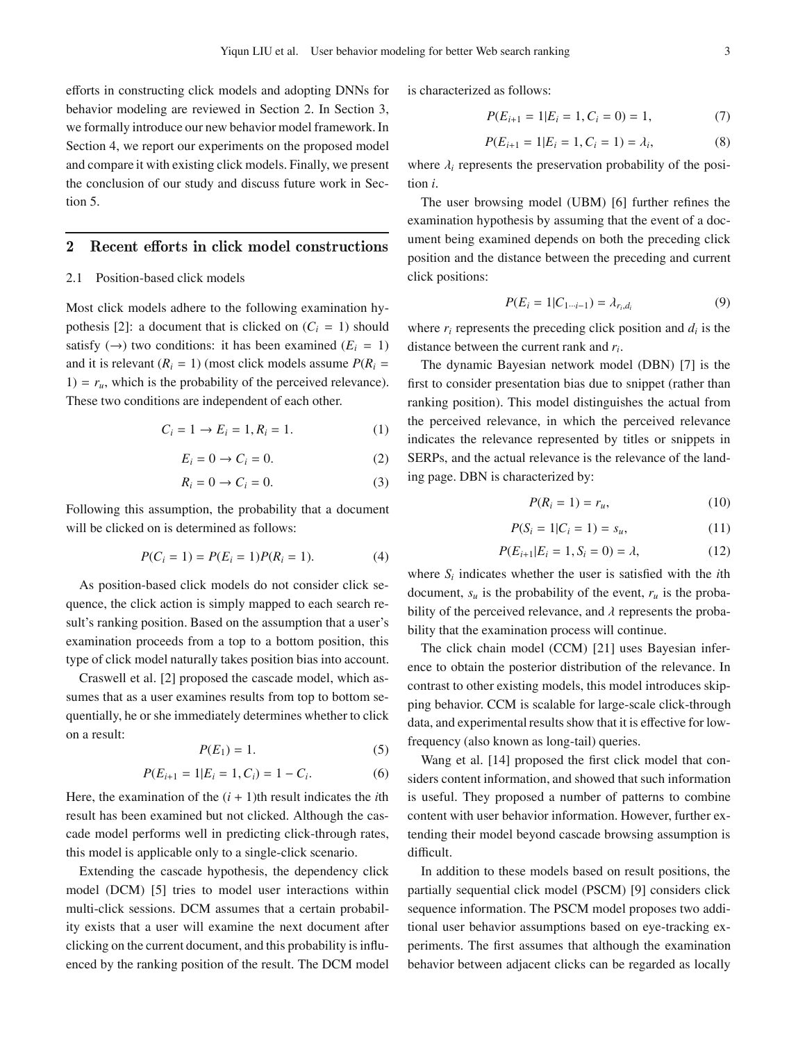efforts in constructing click models and adopting DNNs for behavior modeling are reviewed in Section 2. In Section 3, we formally introduce our new behavior model framework. In Section 4, we report our experiments on the proposed model and compare it with existing click models. Finally, we present the conclusion of our study and discuss future work in Section 5.

# **2 Recent efforts in click model constructions**

## 2.1 Position-based click models

Most click models adhere to the following examination hypothesis [2]: a document that is clicked on  $(C_i = 1)$  should satisfy  $(\rightarrow)$  two conditions: it has been examined  $(E_i = 1)$ and it is relevant  $(R<sub>i</sub> = 1)$  (most click models assume  $P(R<sub>i</sub> = 1)$ )  $1) = r_u$ , which is the probability of the perceived relevance). These two conditions are independent of each other.

$$
C_i = 1 \to E_i = 1, R_i = 1.
$$
 (1)

$$
E_i = 0 \to C_i = 0. \tag{2}
$$

$$
R_i = 0 \to C_i = 0. \tag{3}
$$

Following this assumption, the probability that a document will be clicked on is determined as follows:

$$
P(C_i = 1) = P(E_i = 1)P(R_i = 1).
$$
 (4)

As position-based click models do not consider click sequence, the click action is simply mapped to each search result's ranking position. Based on the assumption that a user's examination proceeds from a top to a bottom position, this type of click model naturally takes position bias into account.

Craswell et al. [2] proposed the cascade model, which assumes that as a user examines results from top to bottom sequentially, he or she immediately determines whether to click on a result:

$$
P(E_1) = 1. \tag{5}
$$

$$
P(E_{i+1} = 1 | E_i = 1, C_i) = 1 - C_i.
$$
 (6)

Here, the examination of the  $(i + 1)$ th result indicates the *i*th result has been examined but not clicked. Although the cascade model performs well in predicting click-through rates, this model is applicable only to a single-click scenario.

Extending the cascade hypothesis, the dependency click model (DCM) [5] tries to model user interactions within multi-click sessions. DCM assumes that a certain probability exists that a user will examine the next document after clicking on the current document, and this probability is influenced by the ranking position of the result. The DCM model

is characterized as follows:

$$
P(E_{i+1} = 1 | E_i = 1, C_i = 0) = 1,
$$
\n(7)

$$
P(E_{i+1} = 1 | E_i = 1, C_i = 1) = \lambda_i,
$$
\n(8)

where  $\lambda_i$  represents the preservation probability of the position *i*.

The user browsing model (UBM) [6] further refines the examination hypothesis by assuming that the event of a document being examined depends on both the preceding click position and the distance between the preceding and current click positions:

$$
P(E_i = 1 | C_{1 \cdots i-1}) = \lambda_{r_i, d_i}
$$
 (9)

where  $r_i$  represents the preceding click position and  $d_i$  is the distance between the current rank and *ri*.

The dynamic Bayesian network model (DBN) [7] is the first to consider presentation bias due to snippet (rather than ranking position). This model distinguishes the actual from the perceived relevance, in which the perceived relevance indicates the relevance represented by titles or snippets in SERPs, and the actual relevance is the relevance of the landing page. DBN is characterized by:

$$
P(R_i = 1) = r_u,\tag{10}
$$

$$
P(S_i = 1 | C_i = 1) = s_u, \tag{11}
$$

$$
P(E_{i+1}|E_i = 1, S_i = 0) = \lambda, \tag{12}
$$

where  $S_i$  indicates whether the user is satisfied with the *i*th document,  $s_u$  is the probability of the event,  $r_u$  is the probability of the perceived relevance, and  $\lambda$  represents the probability that the examination process will continue.

The click chain model (CCM) [21] uses Bayesian inference to obtain the posterior distribution of the relevance. In contrast to other existing models, this model introduces skipping behavior. CCM is scalable for large-scale click-through data, and experimental results show that it is effective for lowfrequency (also known as long-tail) queries.

Wang et al. [14] proposed the first click model that considers content information, and showed that such information is useful. They proposed a number of patterns to combine content with user behavior information. However, further extending their model beyond cascade browsing assumption is difficult.

In addition to these models based on result positions, the partially sequential click model (PSCM) [9] considers click sequence information. The PSCM model proposes two additional user behavior assumptions based on eye-tracking experiments. The first assumes that although the examination behavior between adjacent clicks can be regarded as locally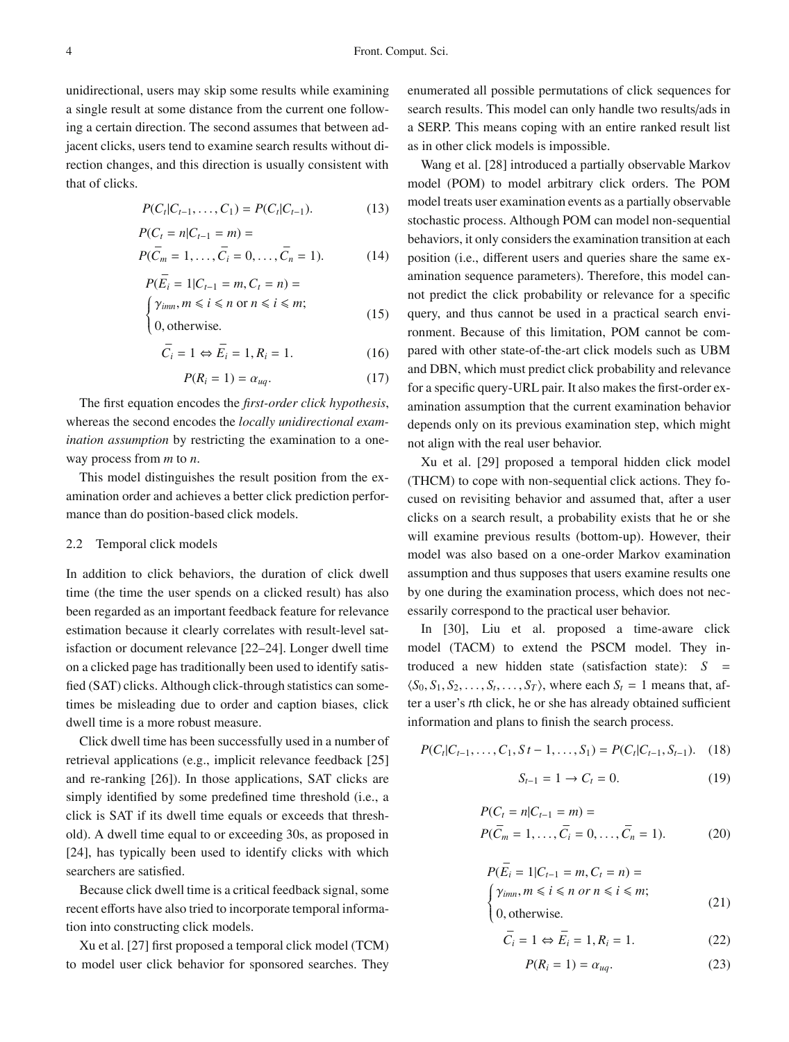unidirectional, users may skip some results while examining a single result at some distance from the current one following a certain direction. The second assumes that between adjacent clicks, users tend to examine search results without direction changes, and this direction is usually consistent with that of clicks.

$$
P(Ct|Ct-1,..., C1) = P(Ct|Ct-1).
$$
 (13)

$$
P(Ct = n|Ct-1 = m) =
$$
  
\n
$$
P(\overline{C}_m = 1, ..., \overline{C}_i = 0, ..., \overline{C}_n = 1).
$$
 (14)

$$
P(\overline{E}_i = 1 | C_{t-1} = m, C_t = n) =
$$
  
\n
$$
\begin{cases} \gamma_{imn}, m \le i \le n \text{ or } n \le i \le m; \\ 0, \text{ otherwise.} \end{cases}
$$
 (15)

$$
\overline{C}_i = 1 \Leftrightarrow \overline{E}_i = 1, R_i = 1. \tag{16}
$$

$$
P(R_i = 1) = \alpha_{uq}.\tag{17}
$$

The first equation encodes the *first-order click hypothesis*, whereas the second encodes the *locally unidirectional examination assumption* by restricting the examination to a oneway process from *m* to *n*.

This model distinguishes the result position from the examination order and achieves a better click prediction performance than do position-based click models.

#### 2.2 Temporal click models

In addition to click behaviors, the duration of click dwell time (the time the user spends on a clicked result) has also been regarded as an important feedback feature for relevance estimation because it clearly correlates with result-level satisfaction or document relevance [22–24]. Longer dwell time on a clicked page has traditionally been used to identify satisfied (SAT) clicks. Although click-through statistics can sometimes be misleading due to order and caption biases, click dwell time is a more robust measure.

Click dwell time has been successfully used in a number of retrieval applications (e.g., implicit relevance feedback [25] and re-ranking [26]). In those applications, SAT clicks are simply identified by some predefined time threshold (i.e., a click is SAT if its dwell time equals or exceeds that threshold). A dwell time equal to or exceeding 30s, as proposed in [24], has typically been used to identify clicks with which searchers are satisfied.

Because click dwell time is a critical feedback signal, some recent efforts have also tried to incorporate temporal information into constructing click models.

Xu et al. [27] first proposed a temporal click model (TCM) to model user click behavior for sponsored searches. They enumerated all possible permutations of click sequences for search results. This model can only handle two results/ads in a SERP. This means coping with an entire ranked result list as in other click models is impossible.

Wang et al. [28] introduced a partially observable Markov model (POM) to model arbitrary click orders. The POM model treats user examination events as a partially observable stochastic process. Although POM can model non-sequential behaviors, it only considers the examination transition at each position (i.e., different users and queries share the same examination sequence parameters). Therefore, this model cannot predict the click probability or relevance for a specific query, and thus cannot be used in a practical search environment. Because of this limitation, POM cannot be compared with other state-of-the-art click models such as UBM and DBN, which must predict click probability and relevance for a specific query-URL pair. It also makes the first-order examination assumption that the current examination behavior depends only on its previous examination step, which might not align with the real user behavior.

Xu et al. [29] proposed a temporal hidden click model (THCM) to cope with non-sequential click actions. They focused on revisiting behavior and assumed that, after a user clicks on a search result, a probability exists that he or she will examine previous results (bottom-up). However, their model was also based on a one-order Markov examination assumption and thus supposes that users examine results one by one during the examination process, which does not necessarily correspond to the practical user behavior.

In [30], Liu et al. proposed a time-aware click model (TACM) to extend the PSCM model. They introduced a new hidden state (satisfaction state): *S* =  $\langle S_0, S_1, S_2, \ldots, S_t, \ldots, S_T \rangle$ , where each  $S_t = 1$  means that, after a user's *t*th click, he or she has already obtained sufficient information and plans to finish the search process.

$$
P(C_t|C_{t-1},\ldots,C_1,St-1,\ldots,S_1)=P(C_t|C_{t-1},S_{t-1}).\quad(18)
$$

$$
S_{t-1} = 1 \to C_t = 0. \tag{19}
$$

$$
P(Ct = n|Ct-1 = m) =
$$
  
\n
$$
P(\overline{C}_m = 1, ..., \overline{C}_i = 0, ..., \overline{C}_n = 1).
$$
 (20)

$$
P(\overline{E}_i = 1 | C_{t-1} = m, C_t = n) =
$$
  
\n
$$
\begin{cases} \gamma_{imn}, m \le i \le n \text{ or } n \le i \le m; \\ 0, \text{ otherwise.} \end{cases}
$$
 (21)

$$
\overline{C}_i = 1 \Leftrightarrow \overline{E}_i = 1, R_i = 1. \tag{22}
$$

$$
P(R_i = 1) = \alpha_{uq}.\tag{23}
$$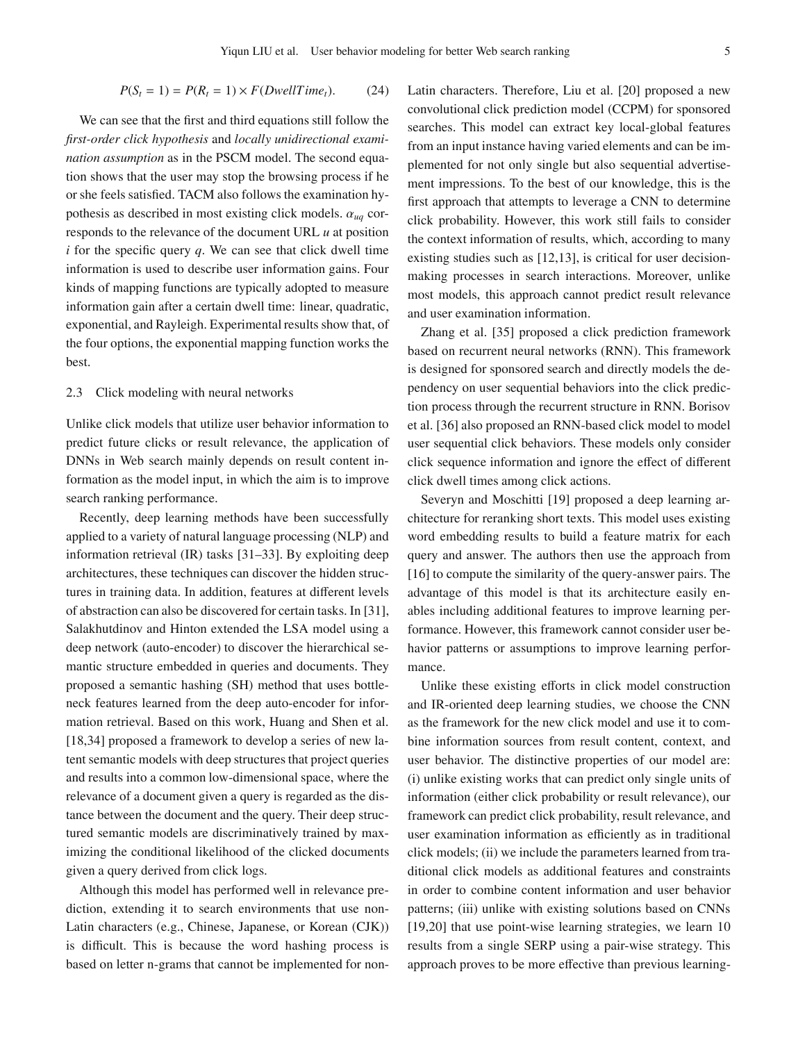$$
P(S_t = 1) = P(R_t = 1) \times F(DwellTime_t). \tag{24}
$$

We can see that the first and third equations still follow the *first-order click hypothesis* and *locally unidirectional examination assumption* as in the PSCM model. The second equation shows that the user may stop the browsing process if he or she feels satisfied. TACM also follows the examination hypothesis as described in most existing click models. α*uq* corresponds to the relevance of the document URL *u* at position *i* for the specific query *q*. We can see that click dwell time information is used to describe user information gains. Four kinds of mapping functions are typically adopted to measure information gain after a certain dwell time: linear, quadratic, exponential, and Rayleigh. Experimental results show that, of the four options, the exponential mapping function works the best.

## 2.3 Click modeling with neural networks

Unlike click models that utilize user behavior information to predict future clicks or result relevance, the application of DNNs in Web search mainly depends on result content information as the model input, in which the aim is to improve search ranking performance.

Recently, deep learning methods have been successfully applied to a variety of natural language processing (NLP) and information retrieval (IR) tasks [31–33]. By exploiting deep architectures, these techniques can discover the hidden structures in training data. In addition, features at different levels of abstraction can also be discovered for certain tasks. In [31], Salakhutdinov and Hinton extended the LSA model using a deep network (auto-encoder) to discover the hierarchical semantic structure embedded in queries and documents. They proposed a semantic hashing (SH) method that uses bottleneck features learned from the deep auto-encoder for information retrieval. Based on this work, Huang and Shen et al. [18,34] proposed a framework to develop a series of new latent semantic models with deep structures that project queries and results into a common low-dimensional space, where the relevance of a document given a query is regarded as the distance between the document and the query. Their deep structured semantic models are discriminatively trained by maximizing the conditional likelihood of the clicked documents given a query derived from click logs.

Although this model has performed well in relevance prediction, extending it to search environments that use non-Latin characters (e.g., Chinese, Japanese, or Korean (CJK)) is difficult. This is because the word hashing process is based on letter n-grams that cannot be implemented for nonLatin characters. Therefore, Liu et al. [20] proposed a new convolutional click prediction model (CCPM) for sponsored searches. This model can extract key local-global features from an input instance having varied elements and can be implemented for not only single but also sequential advertisement impressions. To the best of our knowledge, this is the first approach that attempts to leverage a CNN to determine click probability. However, this work still fails to consider the context information of results, which, according to many existing studies such as [12,13], is critical for user decisionmaking processes in search interactions. Moreover, unlike most models, this approach cannot predict result relevance and user examination information.

Zhang et al. [35] proposed a click prediction framework based on recurrent neural networks (RNN). This framework is designed for sponsored search and directly models the dependency on user sequential behaviors into the click prediction process through the recurrent structure in RNN. Borisov et al. [36] also proposed an RNN-based click model to model user sequential click behaviors. These models only consider click sequence information and ignore the effect of different click dwell times among click actions.

Severyn and Moschitti [19] proposed a deep learning architecture for reranking short texts. This model uses existing word embedding results to build a feature matrix for each query and answer. The authors then use the approach from [16] to compute the similarity of the query-answer pairs. The advantage of this model is that its architecture easily enables including additional features to improve learning performance. However, this framework cannot consider user behavior patterns or assumptions to improve learning performance.

Unlike these existing efforts in click model construction and IR-oriented deep learning studies, we choose the CNN as the framework for the new click model and use it to combine information sources from result content, context, and user behavior. The distinctive properties of our model are: (i) unlike existing works that can predict only single units of information (either click probability or result relevance), our framework can predict click probability, result relevance, and user examination information as efficiently as in traditional click models; (ii) we include the parameters learned from traditional click models as additional features and constraints in order to combine content information and user behavior patterns; (iii) unlike with existing solutions based on CNNs [19,20] that use point-wise learning strategies, we learn 10 results from a single SERP using a pair-wise strategy. This approach proves to be more effective than previous learning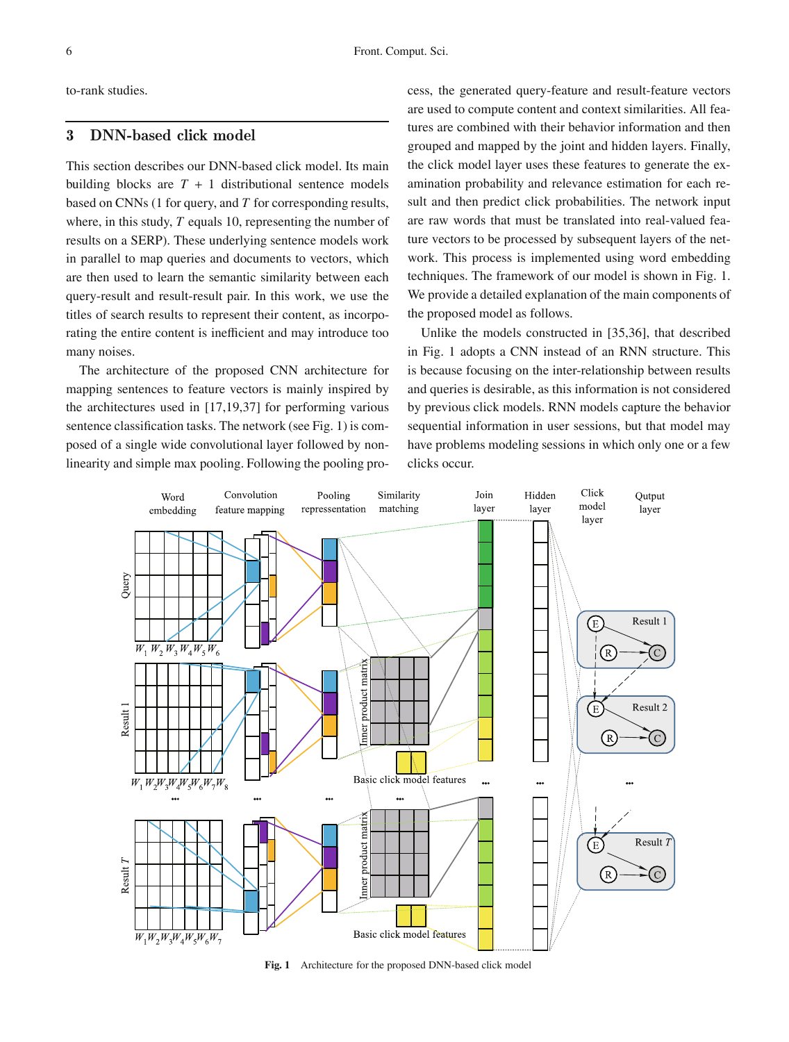to-rank studies.

# **3 DNN-based click model**

This section describes our DNN-based click model. Its main building blocks are  $T + 1$  distributional sentence models based on CNNs (1 for query, and *T* for corresponding results, where, in this study, *T* equals 10, representing the number of results on a SERP). These underlying sentence models work in parallel to map queries and documents to vectors, which are then used to learn the semantic similarity between each query-result and result-result pair. In this work, we use the titles of search results to represent their content, as incorporating the entire content is inefficient and may introduce too many noises.

The architecture of the proposed CNN architecture for mapping sentences to feature vectors is mainly inspired by the architectures used in [17,19,37] for performing various sentence classification tasks. The network (see Fig. 1) is composed of a single wide convolutional layer followed by nonlinearity and simple max pooling. Following the pooling process, the generated query-feature and result-feature vectors are used to compute content and context similarities. All features are combined with their behavior information and then grouped and mapped by the joint and hidden layers. Finally, the click model layer uses these features to generate the examination probability and relevance estimation for each result and then predict click probabilities. The network input are raw words that must be translated into real-valued feature vectors to be processed by subsequent layers of the network. This process is implemented using word embedding techniques. The framework of our model is shown in Fig. 1. We provide a detailed explanation of the main components of the proposed model as follows.

Unlike the models constructed in [35,36], that described in Fig. 1 adopts a CNN instead of an RNN structure. This is because focusing on the inter-relationship between results and queries is desirable, as this information is not considered by previous click models. RNN models capture the behavior sequential information in user sessions, but that model may have problems modeling sessions in which only one or a few clicks occur.



**Fig. 1** Architecture for the proposed DNN-based click model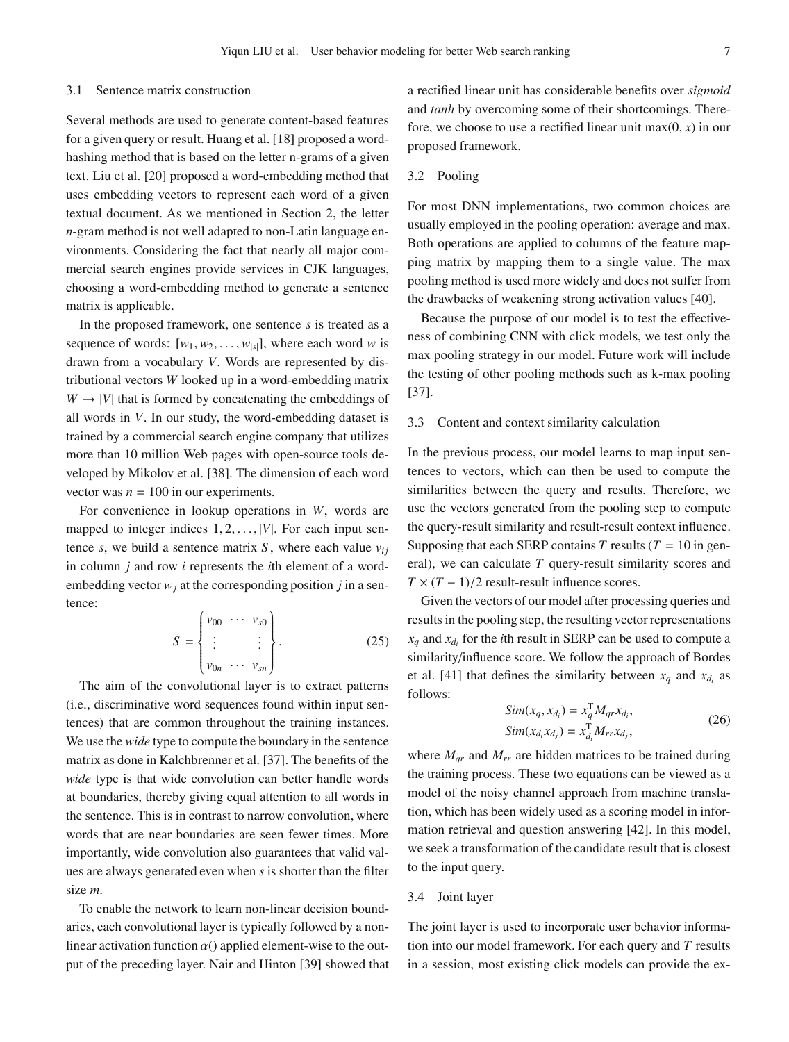### 3.1 Sentence matrix construction

Several methods are used to generate content-based features for a given query or result. Huang et al. [18] proposed a wordhashing method that is based on the letter n-grams of a given text. Liu et al. [20] proposed a word-embedding method that uses embedding vectors to represent each word of a given textual document. As we mentioned in Section 2, the letter *n*-gram method is not well adapted to non-Latin language environments. Considering the fact that nearly all major commercial search engines provide services in CJK languages, choosing a word-embedding method to generate a sentence matrix is applicable.

In the proposed framework, one sentence *s* is treated as a sequence of words:  $[w_1, w_2, \ldots, w_{|s|}]$ , where each word *w* is drawn from a vocabulary *V*. Words are represented by distributional vectors *W* looked up in a word-embedding matrix  $W \rightarrow |V|$  that is formed by concatenating the embeddings of all words in *V*. In our study, the word-embedding dataset is trained by a commercial search engine company that utilizes more than 10 million Web pages with open-source tools developed by Mikolov et al. [38]. The dimension of each word vector was  $n = 100$  in our experiments.

For convenience in lookup operations in *W*, words are mapped to integer indices  $1, 2, \ldots, |V|$ . For each input sentence *s*, we build a sentence matrix *S*, where each value  $v_{ij}$ in column *j* and row *i* represents the *i*th element of a wordembedding vector  $w_i$  at the corresponding position  $j$  in a sentence:

$$
S = \begin{Bmatrix} v_{00} & \cdots & v_{s0} \\ \vdots & & \vdots \\ v_{0n} & \cdots & v_{sn} \end{Bmatrix}.
$$
 (25)

The aim of the convolutional layer is to extract patterns (i.e., discriminative word sequences found within input sentences) that are common throughout the training instances. We use the *wide* type to compute the boundary in the sentence matrix as done in Kalchbrenner et al. [37]. The benefits of the *wide* type is that wide convolution can better handle words at boundaries, thereby giving equal attention to all words in the sentence. This is in contrast to narrow convolution, where words that are near boundaries are seen fewer times. More importantly, wide convolution also guarantees that valid values are always generated even when *s* is shorter than the filter size *m*.

To enable the network to learn non-linear decision boundaries, each convolutional layer is typically followed by a nonlinear activation function  $\alpha$ () applied element-wise to the output of the preceding layer. Nair and Hinton [39] showed that a rectified linear unit has considerable benefits over *sigmoid* and *tanh* by overcoming some of their shortcomings. Therefore, we choose to use a rectified linear unit  $max(0, x)$  in our proposed framework.

#### 3.2 Pooling

For most DNN implementations, two common choices are usually employed in the pooling operation: average and max. Both operations are applied to columns of the feature mapping matrix by mapping them to a single value. The max pooling method is used more widely and does not suffer from the drawbacks of weakening strong activation values [40].

Because the purpose of our model is to test the effectiveness of combining CNN with click models, we test only the max pooling strategy in our model. Future work will include the testing of other pooling methods such as k-max pooling [37].

#### 3.3 Content and context similarity calculation

In the previous process, our model learns to map input sentences to vectors, which can then be used to compute the similarities between the query and results. Therefore, we use the vectors generated from the pooling step to compute the query-result similarity and result-result context influence. Supposing that each SERP contains  $T$  results ( $T = 10$  in general), we can calculate *T* query-result similarity scores and  $T \times (T - 1)/2$  result-result influence scores.

Given the vectors of our model after processing queries and results in the pooling step, the resulting vector representations  $x_q$  and  $x_{d_i}$  for the *i*th result in SERP can be used to compute a similarity/influence score. We follow the approach of Bordes et al. [41] that defines the similarity between  $x_a$  and  $x_d$  as follows:

$$
Sim(x_q, x_{d_i}) = x_q^{\text{T}} M_{qr} x_{d_i},
$$
  
\n
$$
Sim(x_{d_i} x_{d_j}) = x_{d_i}^{\text{T}} M_{rr} x_{d_j},
$$
\n(26)

where  $M_{ar}$  and  $M_{rr}$  are hidden matrices to be trained during the training process. These two equations can be viewed as a model of the noisy channel approach from machine translation, which has been widely used as a scoring model in information retrieval and question answering [42]. In this model, we seek a transformation of the candidate result that is closest to the input query.

#### 3.4 Joint layer

The joint layer is used to incorporate user behavior information into our model framework. For each query and *T* results in a session, most existing click models can provide the ex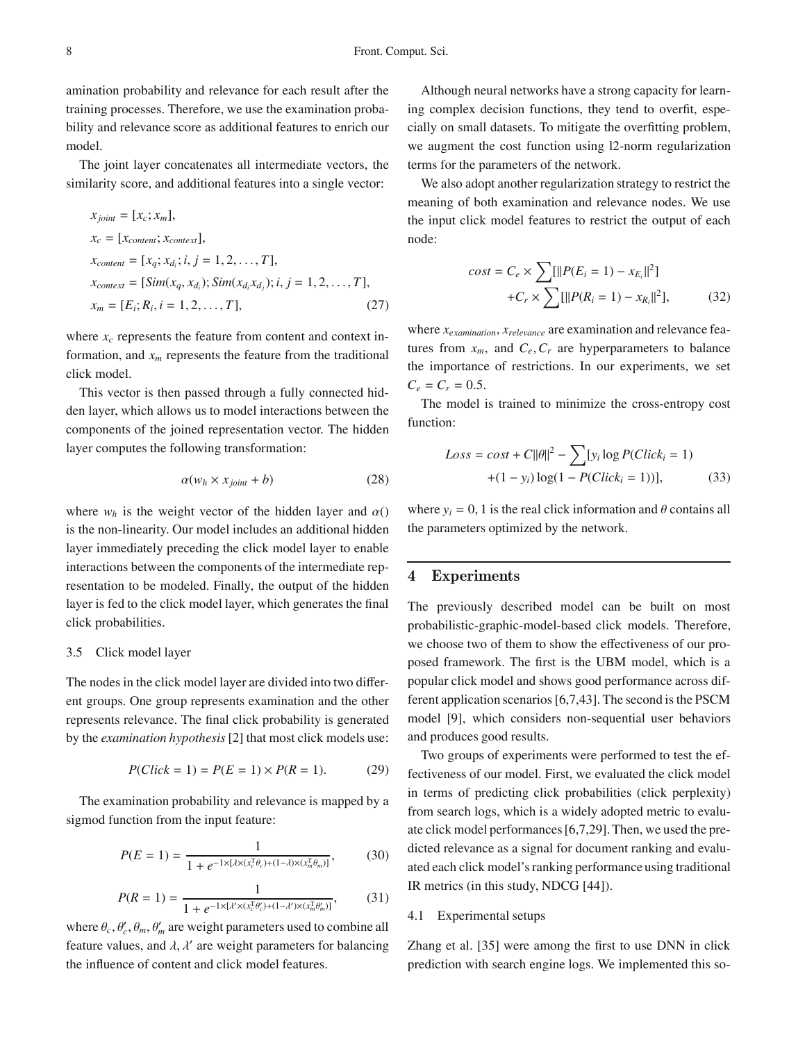amination probability and relevance for each result after the training processes. Therefore, we use the examination probability and relevance score as additional features to enrich our model.

The joint layer concatenates all intermediate vectors, the similarity score, and additional features into a single vector:

$$
x_{joint} = [x_c; x_m],
$$
  
\n
$$
x_c = [x_{content}; x_{context}],
$$
  
\n
$$
x_{content} = [x_q; x_d; i, j = 1, 2, ..., T],
$$
  
\n
$$
x_{context} = [Sim(x_q, x_d); Sim(x_d, x_d); i, j = 1, 2, ..., T],
$$
  
\n
$$
x_m = [E_i; R_i, i = 1, 2, ..., T],
$$
\n(27)

where  $x_c$  represents the feature from content and context information, and  $x_m$  represents the feature from the traditional click model.

This vector is then passed through a fully connected hidden layer, which allows us to model interactions between the components of the joined representation vector. The hidden layer computes the following transformation:

$$
\alpha(w_h \times x_{joint} + b) \tag{28}
$$

where  $w_h$  is the weight vector of the hidden layer and  $\alpha()$ is the non-linearity. Our model includes an additional hidden layer immediately preceding the click model layer to enable interactions between the components of the intermediate representation to be modeled. Finally, the output of the hidden layer is fed to the click model layer, which generates the final click probabilities.

#### 3.5 Click model layer

The nodes in the click model layer are divided into two different groups. One group represents examination and the other represents relevance. The final click probability is generated by the *examination hypothesis*[2] that most click models use:

$$
P(Click = 1) = P(E = 1) \times P(R = 1).
$$
 (29)

The examination probability and relevance is mapped by a sigmod function from the input feature:

$$
P(E = 1) = \frac{1}{1 + e^{-1 \times [\lambda \times (x_c^{\mathrm{T}} \theta_c) + (1 - \lambda) \times (x_m^{\mathrm{T}} \theta_m)]}},
$$
(30)

$$
P(R = 1) = \frac{1}{1 + e^{-1 \times [\lambda' \times (x_c^T \theta_c') + (1 - \lambda') \times (x_m^T \theta_m')]}},
$$
(31)

where  $\theta_c$ ,  $\theta'_c$ ,  $\theta_m$ ,  $\theta'_m$  are weight parameters used to combine all feature values, and  $\lambda$ ,  $\lambda'$  are weight parameters for balancing the influence of content and click model features.

Although neural networks have a strong capacity for learning complex decision functions, they tend to overfit, especially on small datasets. To mitigate the overfitting problem, we augment the cost function using l2-norm regularization terms for the parameters of the network.

We also adopt another regularization strategy to restrict the meaning of both examination and relevance nodes. We use the input click model features to restrict the output of each node:

$$
cost = C_e \times \sum [||P(E_i = 1) - x_{E_i}||^2]
$$
  
+ $C_r \times \sum [||P(R_i = 1) - x_{R_i}||^2]$ , (32)

where *xexamination*, *xrelevance* are examination and relevance features from  $x_m$ , and  $C_e$ ,  $C_r$  are hyperparameters to balance the importance of restrictions. In our experiments, we set  $C_e = C_r = 0.5$ .

The model is trained to minimize the cross-entropy cost function:

$$
Loss = cost + C||\theta||^2 - \sum [y_i \log P(Click_i = 1) + (1 - y_i) \log(1 - P(Click_i = 1))],
$$
\n(33)

where  $y_i = 0$ , 1 is the real click information and  $\theta$  contains all the parameters optimized by the network.

# **4 Experiments**

The previously described model can be built on most probabilistic-graphic-model-based click models. Therefore, we choose two of them to show the effectiveness of our proposed framework. The first is the UBM model, which is a popular click model and shows good performance across different application scenarios [6,7,43]. The second is the PSCM model [9], which considers non-sequential user behaviors and produces good results.

Two groups of experiments were performed to test the effectiveness of our model. First, we evaluated the click model in terms of predicting click probabilities (click perplexity) from search logs, which is a widely adopted metric to evaluate click model performances [6,7,29]. Then, we used the predicted relevance as a signal for document ranking and evaluated each click model's ranking performance using traditional IR metrics (in this study, NDCG [44]).

## 4.1 Experimental setups

Zhang et al. [35] were among the first to use DNN in click prediction with search engine logs. We implemented this so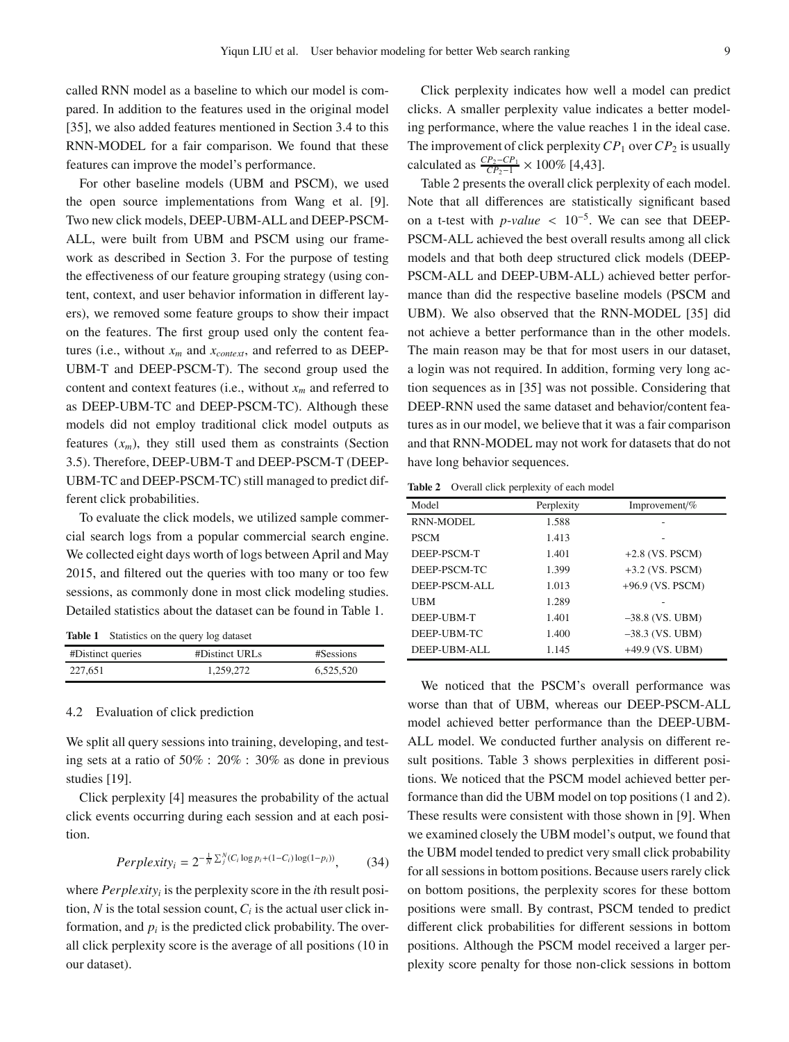called RNN model as a baseline to which our model is compared. In addition to the features used in the original model [35], we also added features mentioned in Section 3.4 to this RNN-MODEL for a fair comparison. We found that these features can improve the model's performance.

For other baseline models (UBM and PSCM), we used the open source implementations from Wang et al. [9]. Two new click models, DEEP-UBM-ALL and DEEP-PSCM-ALL, were built from UBM and PSCM using our framework as described in Section 3. For the purpose of testing the effectiveness of our feature grouping strategy (using content, context, and user behavior information in different layers), we removed some feature groups to show their impact on the features. The first group used only the content features (i.e., without  $x_m$  and  $x_{context}$ , and referred to as DEEP-UBM-T and DEEP-PSCM-T). The second group used the content and context features (i.e., without  $x_m$  and referred to as DEEP-UBM-TC and DEEP-PSCM-TC). Although these models did not employ traditional click model outputs as features  $(x_m)$ , they still used them as constraints (Section 3.5). Therefore, DEEP-UBM-T and DEEP-PSCM-T (DEEP-UBM-TC and DEEP-PSCM-TC) still managed to predict different click probabilities.

To evaluate the click models, we utilized sample commercial search logs from a popular commercial search engine. We collected eight days worth of logs between April and May 2015, and filtered out the queries with too many or too few sessions, as commonly done in most click modeling studies. Detailed statistics about the dataset can be found in Table 1.

**Table 1** Statistics on the query log dataset

| #Distinct queries | #Distinct URLs | #Sessions |
|-------------------|----------------|-----------|
| 227,651           | 1.259.272      | 6.525.520 |

## 4.2 Evaluation of click prediction

We split all query sessions into training, developing, and testing sets at a ratio of 50% : 20% : 30% as done in previous studies [19].

Click perplexity [4] measures the probability of the actual click events occurring during each session and at each position.

$$
Perplexity_i = 2^{-\frac{1}{N}\sum_j^N (C_i \log p_i + (1 - C_i) \log(1 - p_i))}, \quad (34)
$$

where *Perplexityi* is the perplexity score in the *i*th result position,  $N$  is the total session count,  $C_i$  is the actual user click information, and  $p_i$  is the predicted click probability. The overall click perplexity score is the average of all positions (10 in our dataset).

Click perplexity indicates how well a model can predict clicks. A smaller perplexity value indicates a better modeling performance, where the value reaches 1 in the ideal case. The improvement of click perplexity  $CP_1$  over  $CP_2$  is usually calculated as  $\frac{CP_2 - CP_1}{CP_2 - 1} \times 100\%$  [4,43].

Table 2 presents the overall click perplexity of each model. Note that all differences are statistically significant based on a t-test with *p*-*value* < 10−5. We can see that DEEP-PSCM-ALL achieved the best overall results among all click models and that both deep structured click models (DEEP-PSCM-ALL and DEEP-UBM-ALL) achieved better performance than did the respective baseline models (PSCM and UBM). We also observed that the RNN-MODEL [35] did not achieve a better performance than in the other models. The main reason may be that for most users in our dataset, a login was not required. In addition, forming very long action sequences as in [35] was not possible. Considering that DEEP-RNN used the same dataset and behavior/content features as in our model, we believe that it was a fair comparison and that RNN-MODEL may not work for datasets that do not have long behavior sequences.

Table 2 Overall click perplexity of each model

| Model         | Perplexity | Improvement/ $%$   |
|---------------|------------|--------------------|
| RNN-MODEL     | 1.588      |                    |
| <b>PSCM</b>   | 1.413      |                    |
| DEEP-PSCM-T   | 1.401      | $+2.8$ (VS. PSCM)  |
| DEEP-PSCM-TC  | 1.399      | $+3.2$ (VS. PSCM)  |
| DEEP-PSCM-ALL | 1.013      | $+96.9$ (VS. PSCM) |
| UBM           | 1.289      |                    |
| DEEP-UBM-T    | 1.401      | $-38.8$ (VS. UBM)  |
| DEEP-UBM-TC   | 1.400      | $-38.3$ (VS. UBM)  |
| DEEP-UBM-ALL  | 1.145      | $+49.9$ (VS. UBM)  |

We noticed that the PSCM's overall performance was worse than that of UBM, whereas our DEEP-PSCM-ALL model achieved better performance than the DEEP-UBM-ALL model. We conducted further analysis on different result positions. Table 3 shows perplexities in different positions. We noticed that the PSCM model achieved better performance than did the UBM model on top positions (1 and 2). These results were consistent with those shown in [9]. When we examined closely the UBM model's output, we found that the UBM model tended to predict very small click probability for all sessions in bottom positions. Because users rarely click on bottom positions, the perplexity scores for these bottom positions were small. By contrast, PSCM tended to predict different click probabilities for different sessions in bottom positions. Although the PSCM model received a larger perplexity score penalty for those non-click sessions in bottom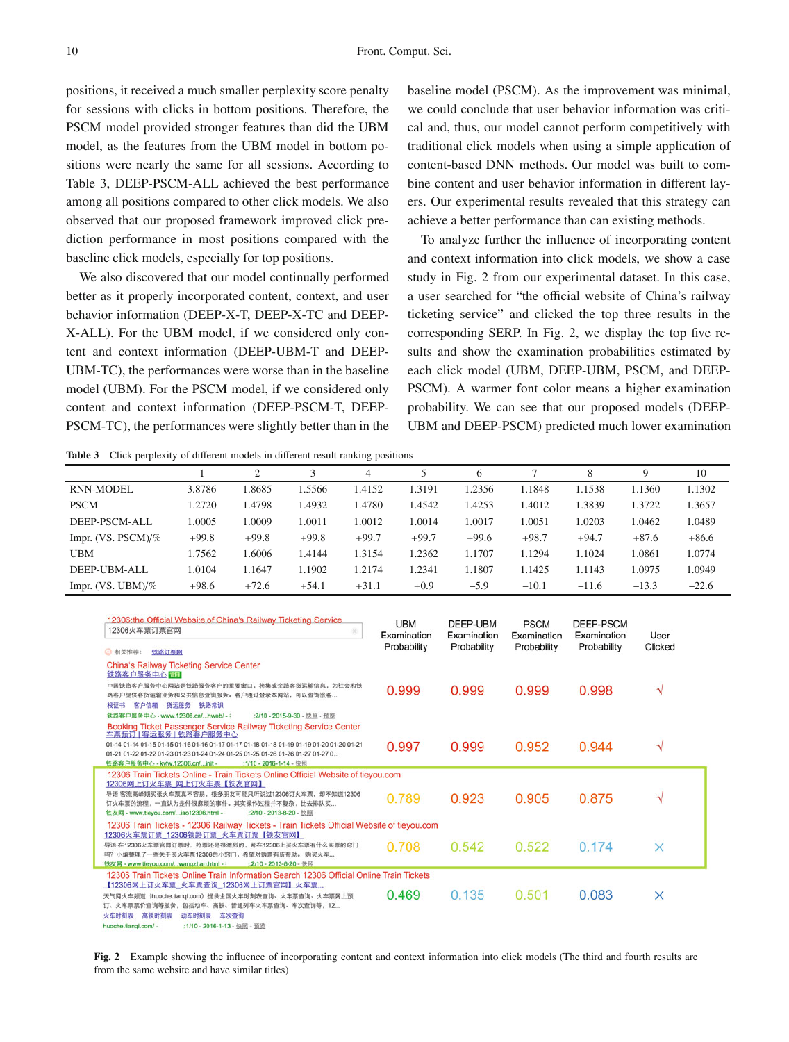positions, it received a much smaller perplexity score penalty for sessions with clicks in bottom positions. Therefore, the PSCM model provided stronger features than did the UBM model, as the features from the UBM model in bottom positions were nearly the same for all sessions. According to Table 3, DEEP-PSCM-ALL achieved the best performance among all positions compared to other click models. We also observed that our proposed framework improved click prediction performance in most positions compared with the baseline click models, especially for top positions.

We also discovered that our model continually performed better as it properly incorporated content, context, and user behavior information (DEEP-X-T, DEEP-X-TC and DEEP-X-ALL). For the UBM model, if we considered only content and context information (DEEP-UBM-T and DEEP-UBM-TC), the performances were worse than in the baseline model (UBM). For the PSCM model, if we considered only content and context information (DEEP-PSCM-T, DEEP-PSCM-TC), the performances were slightly better than in the baseline model (PSCM). As the improvement was minimal, we could conclude that user behavior information was critical and, thus, our model cannot perform competitively with traditional click models when using a simple application of content-based DNN methods. Our model was built to combine content and user behavior information in different layers. Our experimental results revealed that this strategy can achieve a better performance than can existing methods.

To analyze further the influence of incorporating content and context information into click models, we show a case study in Fig. 2 from our experimental dataset. In this case, a user searched for "the official website of China's railway ticketing service" and clicked the top three results in the corresponding SERP. In Fig. 2, we display the top five results and show the examination probabilities estimated by each click model (UBM, DEEP-UBM, PSCM, and DEEP-PSCM). A warmer font color means a higher examination probability. We can see that our proposed models (DEEP-UBM and DEEP-PSCM) predicted much lower examination

**Table 3** Click perplexity of different models in different result ranking positions

|                       |         |         |         | 4       |         | $\sigma$ |         |         |         | 10      |
|-----------------------|---------|---------|---------|---------|---------|----------|---------|---------|---------|---------|
| <b>RNN-MODEL</b>      | 3.8786  | 1.8685  | .5566   | 1.4152  | 1.3191  | 1.2356   | 1.1848  | 1.1538  | 1.1360  | 1.1302  |
| <b>PSCM</b>           | 1.2720  | 1.4798  | .4932   | l.4780  | 1.4542  | 1.4253   | .4012   | 1.3839  | 1.3722  | 1.3657  |
| DEEP-PSCM-ALL         | 1.0005  | 1.0009  | 1.0011  | 1.0012  | 1.0014  | 1.0017   | 1.0051  | 1.0203  | 1.0462  | 1.0489  |
| Impr. $(VS. PSCM)/\%$ | $+99.8$ | $+99.8$ | $+99.8$ | $+99.7$ | $+99.7$ | $+99.6$  | $+98.7$ | $+94.7$ | $+87.6$ | $+86.6$ |
| <b>UBM</b>            | 1.7562  | 1.6006  | .4144   | 1.3154  | 1.2362  | 1.1707   | 1.1294  | 1.1024  | 1.0861  | 1.0774  |
| DEEP-UBM-ALL          | 1.0104  | 1.1647  | 1.1902  | 1.2174  | 1.2341  | 1.1807   | 1.1425  | 1.1143  | 1.0975  | 1.0949  |
| Impr. (VS. UBM)/ $%$  | $+98.6$ | $+72.6$ | $+54.1$ | $+31.1$ | $+0.9$  | $-5.9$   | $-10.1$ | $-11.6$ | $-13.3$ | $-22.6$ |

| 12306:the Official Website of China's Railway Ticketing Service<br>12306火车票订票官网<br>×<br>© 相关推荐:<br>铁路订票网                                                                                                                                                                                                                                  | <b>UBM</b><br>Examination<br>Probability | DEEP-UBM<br>Examination<br>Probability | <b>PSCM</b><br>Examination<br>Probability | DEEP-PSCM<br>Examination<br>Probability | User<br>Clicked |
|-------------------------------------------------------------------------------------------------------------------------------------------------------------------------------------------------------------------------------------------------------------------------------------------------------------------------------------------|------------------------------------------|----------------------------------------|-------------------------------------------|-----------------------------------------|-----------------|
| China's Railway Ticketing Service Center<br>铁路客户服务中心 雷哥<br>中国铁路客户服务中心网站是铁路服务客户的重要窗口,将集成全路客货运输信息,为社会和铁<br>路客户提供客货运输业务和公共信息查询服务。客户通过登录本网站,可以查询旅客<br>根证书 客户信箱 货运服务 铁路常识<br>铁路客户服务中心 - www.12306.cn/hweb/ -:<br>:2/10 - 2015-9-30 - 快照 - 预览                                                                                                   | 0.999                                    | 0.999                                  | 0.999                                     | 0.998                                   | V               |
| Booking Ticket Passenger Service Railway Ticketing Service Center<br>车票预订   客运服务   铁路客户服务中心<br>01-14 01-14 01-15 01-15 01-16 01-16 01-17 01-17 01-18 01-18 01-19 01-19 01-20 01-20 01-21<br>01-21 01-22 01-22 01-23 01-23 01-24 01-24 01-25 01-25 01-26 01-26 01-27 01-27 0.<br>铁路客户服务中心 - kyfw.12306.cn/init -<br>:1/10 - 2016-1-14 - 快照 | 0.997                                    | 0.999                                  | 0.952                                     | 0.944                                   | V               |
| 12306 Train Tickets Online - Train Tickets Online Official Website of tieyou.com<br>12306网上订火车票 网上订火车票【铁友官网】<br>导语 客流高峰期买张火车票真不容易, 很多朋友可能只听说过12306订火车票, 却不知道12306<br>订火车票的流程,一直认为是件很麻烦的事件。其实操作过程并不复杂,比去排队买<br>:2/10 - 2013-8-20 - 快照<br>铁友网 - www.tieyou.com/iao12306.html -                                                              | 0.789                                    | 0.923                                  | 0.905                                     | 0.875                                   | V               |
| 12306 Train Tickets - 12306 Railway Tickets - Train Tickets Official Website of tievou.com<br>12306火车票订票 12306铁路订票 火车票订票【铁友官网】<br>导语 在12306火车票官网订票时,抢票还是很激烈的,那在12306上买火车票有什么买票的窍门<br>吗?小编整理了一些关于买火车票12306的小窍门,希望对购票有所帮助。购买火车<br>:2/10 - 2013-8-20 - 快照<br>铁友网 - www.tieyou.com/wangzhan.html -                                            | 0.708                                    | 0.542                                  | 0.522                                     | 0.174                                   | $\times$        |
| 12306 Train Tickets Online Train Information Search 12306 Official Online Train Tickets<br>【12306网上订火车票 火车票查询 12306网上订票官网】火车票<br>天气网火车频道 (huoche.tiangi.com) 提供全国火车时刻表查询、火车票查询、火车票网上预<br>订、火车票票价查询等服务,包括动车、高铁、普通列车火车票查询、车次查询等, 12<br>火车时刻表 高铁时刻表<br>动车时刻表 车次查询<br>:1/10 - 2016-1-13 - 快照 - 預览<br>huoche.tiangi.com/ -                     | 0.469                                    | 0.135                                  | 0.501                                     | 0.083                                   | $\times$        |

**Fig. 2** Example showing the influence of incorporating content and context information into click models (The third and fourth results are from the same website and have similar titles)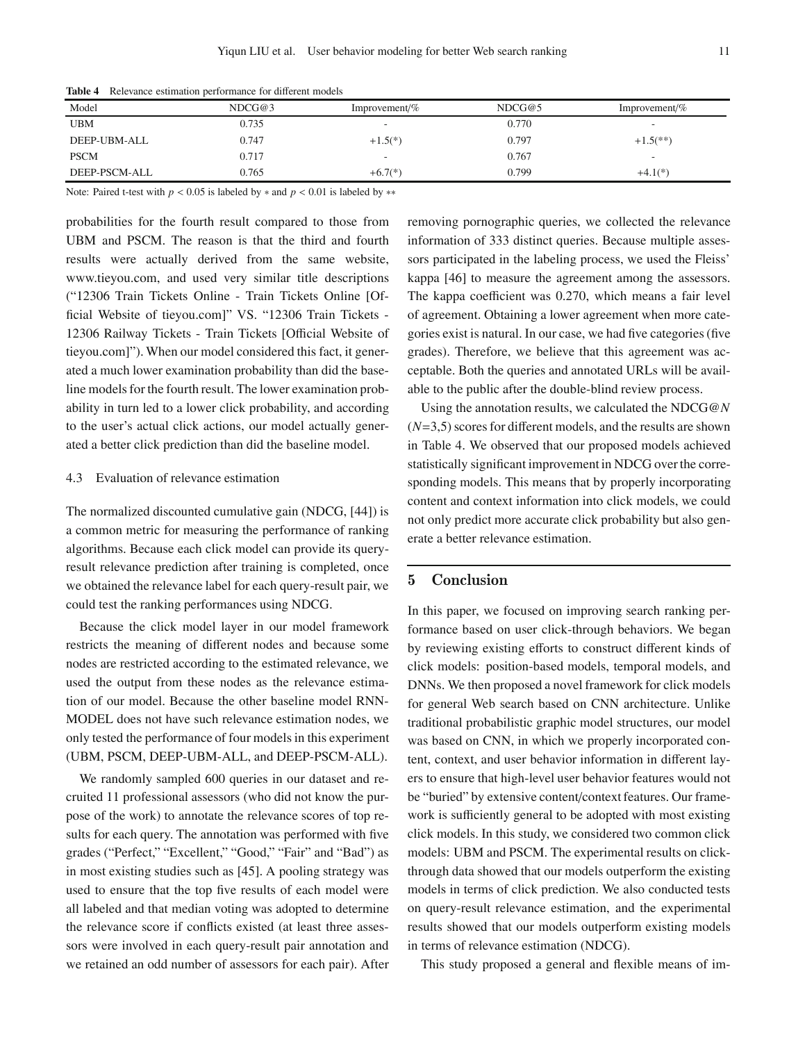| Model         | NDCG@3 | Improvement/ $%$         | NDCG@5 | Improvement/ $%$         |  |
|---------------|--------|--------------------------|--------|--------------------------|--|
| <b>UBM</b>    | 0.735  | $\overline{\phantom{0}}$ | 0.770  | $\overline{\phantom{a}}$ |  |
| DEEP-UBM-ALL  | 0.747  | $+1.5$ <sup>*</sup> )    | 0.797  | $+1.5$ <sup>**</sup> )   |  |
| <b>PSCM</b>   | 0.717  | $\overline{\phantom{0}}$ | 0.767  | $\overline{\phantom{0}}$ |  |
| DEEP-PSCM-ALL | 0.765  | $+6.7$ <sup>*</sup> )    | 0.799  | $+4.1$ <sup>*</sup> )    |  |

**Table 4** Relevance estimation performance for different models

Note: Paired t-test with  $p < 0.05$  is labeled by  $*$  and  $p < 0.01$  is labeled by  $**$ 

probabilities for the fourth result compared to those from UBM and PSCM. The reason is that the third and fourth results were actually derived from the same website, www.tieyou.com, and used very similar title descriptions ("12306 Train Tickets Online - Train Tickets Online [Official Website of tieyou.com]" VS. "12306 Train Tickets - 12306 Railway Tickets - Train Tickets [Official Website of tieyou.com]"). When our model considered this fact, it generated a much lower examination probability than did the baseline models for the fourth result. The lower examination probability in turn led to a lower click probability, and according to the user's actual click actions, our model actually generated a better click prediction than did the baseline model.

## 4.3 Evaluation of relevance estimation

The normalized discounted cumulative gain (NDCG, [44]) is a common metric for measuring the performance of ranking algorithms. Because each click model can provide its queryresult relevance prediction after training is completed, once we obtained the relevance label for each query-result pair, we could test the ranking performances using NDCG.

Because the click model layer in our model framework restricts the meaning of different nodes and because some nodes are restricted according to the estimated relevance, we used the output from these nodes as the relevance estimation of our model. Because the other baseline model RNN-MODEL does not have such relevance estimation nodes, we only tested the performance of four models in this experiment (UBM, PSCM, DEEP-UBM-ALL, and DEEP-PSCM-ALL).

We randomly sampled 600 queries in our dataset and recruited 11 professional assessors (who did not know the purpose of the work) to annotate the relevance scores of top results for each query. The annotation was performed with five grades ("Perfect," "Excellent," "Good," "Fair" and "Bad") as in most existing studies such as [45]. A pooling strategy was used to ensure that the top five results of each model were all labeled and that median voting was adopted to determine the relevance score if conflicts existed (at least three assessors were involved in each query-result pair annotation and we retained an odd number of assessors for each pair). After removing pornographic queries, we collected the relevance information of 333 distinct queries. Because multiple assessors participated in the labeling process, we used the Fleiss' kappa [46] to measure the agreement among the assessors. The kappa coefficient was 0.270, which means a fair level of agreement. Obtaining a lower agreement when more categories exist is natural. In our case, we had five categories (five grades). Therefore, we believe that this agreement was acceptable. Both the queries and annotated URLs will be available to the public after the double-blind review process.

Using the annotation results, we calculated the NDCG@*N* (*N*=3,5) scores for different models, and the results are shown in Table 4. We observed that our proposed models achieved statistically significant improvement in NDCG over the corresponding models. This means that by properly incorporating content and context information into click models, we could not only predict more accurate click probability but also generate a better relevance estimation.

## **5 Conclusion**

In this paper, we focused on improving search ranking performance based on user click-through behaviors. We began by reviewing existing efforts to construct different kinds of click models: position-based models, temporal models, and DNNs. We then proposed a novel framework for click models for general Web search based on CNN architecture. Unlike traditional probabilistic graphic model structures, our model was based on CNN, in which we properly incorporated content, context, and user behavior information in different layers to ensure that high-level user behavior features would not be "buried" by extensive content/context features. Our framework is sufficiently general to be adopted with most existing click models. In this study, we considered two common click models: UBM and PSCM. The experimental results on clickthrough data showed that our models outperform the existing models in terms of click prediction. We also conducted tests on query-result relevance estimation, and the experimental results showed that our models outperform existing models in terms of relevance estimation (NDCG).

This study proposed a general and flexible means of im-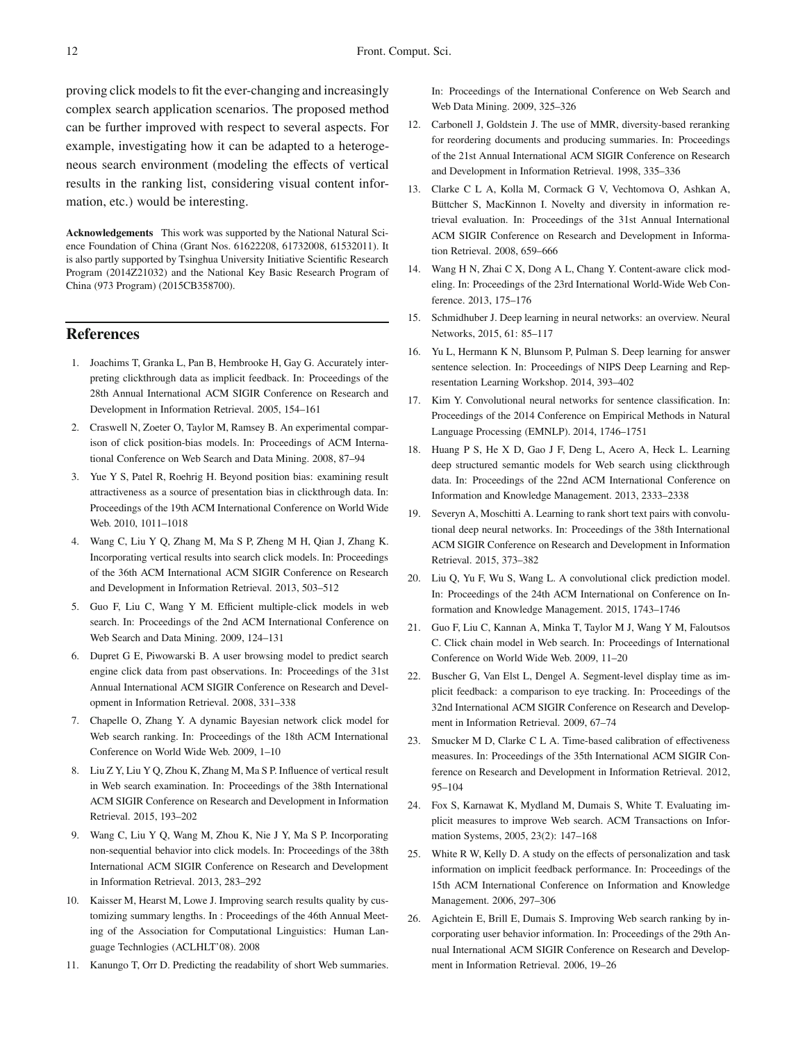proving click models to fit the ever-changing and increasingly complex search application scenarios. The proposed method can be further improved with respect to several aspects. For example, investigating how it can be adapted to a heterogeneous search environment (modeling the effects of vertical results in the ranking list, considering visual content information, etc.) would be interesting.

**Acknowledgements** This work was supported by the National Natural Science Foundation of China (Grant Nos. 61622208, 61732008, 61532011). It is also partly supported by Tsinghua University Initiative Scientific Research Program (2014Z21032) and the National Key Basic Research Program of China (973 Program) (2015CB358700).

# **References**

- 1. Joachims T, Granka L, Pan B, Hembrooke H, Gay G. Accurately interpreting clickthrough data as implicit feedback. In: Proceedings of the 28th Annual International ACM SIGIR Conference on Research and Development in Information Retrieval. 2005, 154–161
- 2. Craswell N, Zoeter O, Taylor M, Ramsey B. An experimental comparison of click position-bias models. In: Proceedings of ACM International Conference on Web Search and Data Mining. 2008, 87–94
- 3. Yue Y S, Patel R, Roehrig H. Beyond position bias: examining result attractiveness as a source of presentation bias in clickthrough data. In: Proceedings of the 19th ACM International Conference on World Wide Web. 2010, 1011–1018
- 4. Wang C, Liu Y Q, Zhang M, Ma S P, Zheng M H, Qian J, Zhang K. Incorporating vertical results into search click models. In: Proceedings of the 36th ACM International ACM SIGIR Conference on Research and Development in Information Retrieval. 2013, 503–512
- 5. Guo F, Liu C, Wang Y M. Efficient multiple-click models in web search. In: Proceedings of the 2nd ACM International Conference on Web Search and Data Mining. 2009, 124–131
- 6. Dupret G E, Piwowarski B. A user browsing model to predict search engine click data from past observations. In: Proceedings of the 31st Annual International ACM SIGIR Conference on Research and Development in Information Retrieval. 2008, 331–338
- 7. Chapelle O, Zhang Y. A dynamic Bayesian network click model for Web search ranking. In: Proceedings of the 18th ACM International Conference on World Wide Web. 2009, 1–10
- 8. Liu Z Y, Liu Y Q, Zhou K, Zhang M, Ma S P. Influence of vertical result in Web search examination. In: Proceedings of the 38th International ACM SIGIR Conference on Research and Development in Information Retrieval. 2015, 193–202
- 9. Wang C, Liu Y Q, Wang M, Zhou K, Nie J Y, Ma S P. Incorporating non-sequential behavior into click models. In: Proceedings of the 38th International ACM SIGIR Conference on Research and Development in Information Retrieval. 2013, 283–292
- 10. Kaisser M, Hearst M, Lowe J. Improving search results quality by customizing summary lengths. In : Proceedings of the 46th Annual Meeting of the Association for Computational Linguistics: Human Language Technlogies (ACLHLT'08). 2008
- 11. Kanungo T, Orr D. Predicting the readability of short Web summaries.

In: Proceedings of the International Conference on Web Search and Web Data Mining. 2009, 325–326

- 12. Carbonell J, Goldstein J. The use of MMR, diversity-based reranking for reordering documents and producing summaries. In: Proceedings of the 21st Annual International ACM SIGIR Conference on Research and Development in Information Retrieval. 1998, 335–336
- 13. Clarke C L A, Kolla M, Cormack G V, Vechtomova O, Ashkan A, Büttcher S, MacKinnon I. Novelty and diversity in information retrieval evaluation. In: Proceedings of the 31st Annual International ACM SIGIR Conference on Research and Development in Information Retrieval. 2008, 659–666
- 14. Wang H N, Zhai C X, Dong A L, Chang Y. Content-aware click modeling. In: Proceedings of the 23rd International World-Wide Web Conference. 2013, 175–176
- 15. Schmidhuber J. Deep learning in neural networks: an overview. Neural Networks, 2015, 61: 85–117
- 16. Yu L, Hermann K N, Blunsom P, Pulman S. Deep learning for answer sentence selection. In: Proceedings of NIPS Deep Learning and Representation Learning Workshop. 2014, 393–402
- 17. Kim Y. Convolutional neural networks for sentence classification. In: Proceedings of the 2014 Conference on Empirical Methods in Natural Language Processing (EMNLP). 2014, 1746–1751
- 18. Huang P S, He X D, Gao J F, Deng L, Acero A, Heck L. Learning deep structured semantic models for Web search using clickthrough data. In: Proceedings of the 22nd ACM International Conference on Information and Knowledge Management. 2013, 2333–2338
- 19. Severyn A, Moschitti A. Learning to rank short text pairs with convolutional deep neural networks. In: Proceedings of the 38th International ACM SIGIR Conference on Research and Development in Information Retrieval. 2015, 373–382
- 20. Liu Q, Yu F, Wu S, Wang L. A convolutional click prediction model. In: Proceedings of the 24th ACM International on Conference on Information and Knowledge Management. 2015, 1743–1746
- 21. Guo F, Liu C, Kannan A, Minka T, Taylor M J, Wang Y M, Faloutsos C. Click chain model in Web search. In: Proceedings of International Conference on World Wide Web. 2009, 11–20
- 22. Buscher G, Van Elst L, Dengel A. Segment-level display time as implicit feedback: a comparison to eye tracking. In: Proceedings of the 32nd International ACM SIGIR Conference on Research and Development in Information Retrieval. 2009, 67–74
- 23. Smucker M D, Clarke C L A. Time-based calibration of effectiveness measures. In: Proceedings of the 35th International ACM SIGIR Conference on Research and Development in Information Retrieval. 2012, 95–104
- 24. Fox S, Karnawat K, Mydland M, Dumais S, White T. Evaluating implicit measures to improve Web search. ACM Transactions on Information Systems, 2005, 23(2): 147–168
- 25. White R W, Kelly D. A study on the effects of personalization and task information on implicit feedback performance. In: Proceedings of the 15th ACM International Conference on Information and Knowledge Management. 2006, 297–306
- 26. Agichtein E, Brill E, Dumais S. Improving Web search ranking by incorporating user behavior information. In: Proceedings of the 29th Annual International ACM SIGIR Conference on Research and Development in Information Retrieval. 2006, 19–26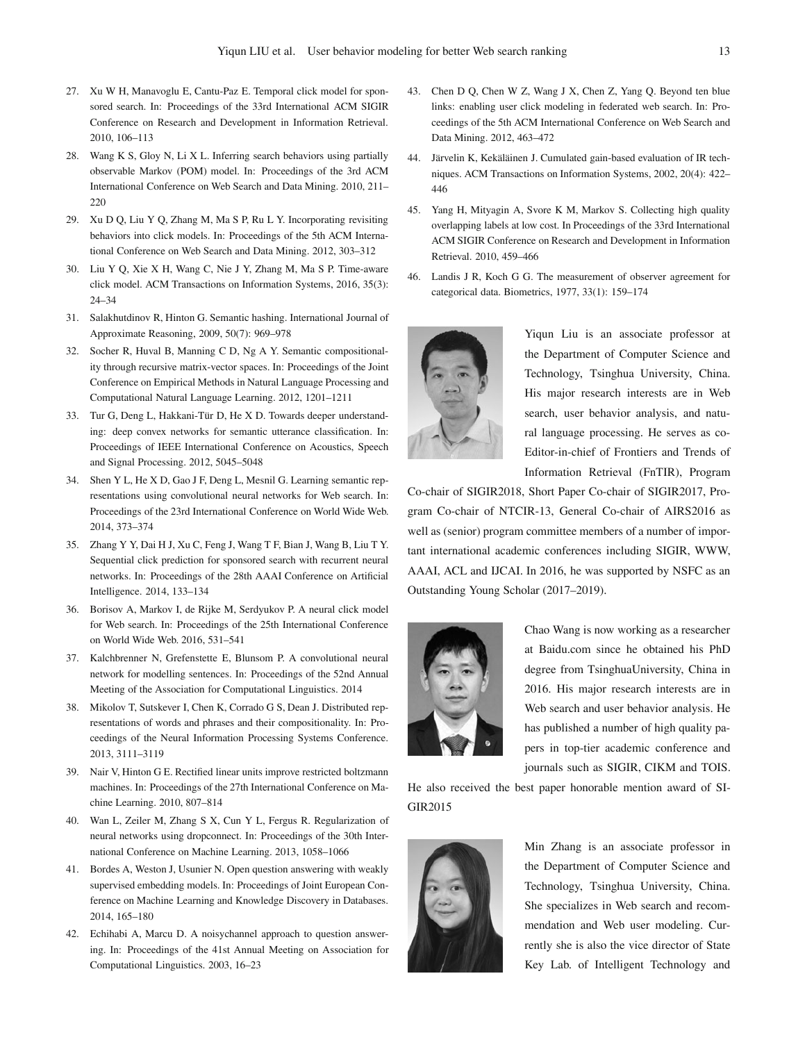- 27. Xu W H, Manavoglu E, Cantu-Paz E. Temporal click model for sponsored search. In: Proceedings of the 33rd International ACM SIGIR Conference on Research and Development in Information Retrieval. 2010, 106–113
- 28. Wang K S, Gloy N, Li X L. Inferring search behaviors using partially observable Markov (POM) model. In: Proceedings of the 3rd ACM International Conference on Web Search and Data Mining. 2010, 211– 220
- 29. Xu D Q, Liu Y Q, Zhang M, Ma S P, Ru L Y. Incorporating revisiting behaviors into click models. In: Proceedings of the 5th ACM International Conference on Web Search and Data Mining. 2012, 303–312
- 30. Liu Y Q, Xie X H, Wang C, Nie J Y, Zhang M, Ma S P. Time-aware click model. ACM Transactions on Information Systems, 2016, 35(3): 24–34
- 31. Salakhutdinov R, Hinton G. Semantic hashing. International Journal of Approximate Reasoning, 2009, 50(7): 969–978
- 32. Socher R, Huval B, Manning C D, Ng A Y. Semantic compositionality through recursive matrix-vector spaces. In: Proceedings of the Joint Conference on Empirical Methods in Natural Language Processing and Computational Natural Language Learning. 2012, 1201–1211
- 33. Tur G, Deng L, Hakkani-Tür D, He X D. Towards deeper understanding: deep convex networks for semantic utterance classification. In: Proceedings of IEEE International Conference on Acoustics, Speech and Signal Processing. 2012, 5045–5048
- 34. Shen Y L, He X D, Gao J F, Deng L, Mesnil G. Learning semantic representations using convolutional neural networks for Web search. In: Proceedings of the 23rd International Conference on World Wide Web. 2014, 373–374
- 35. Zhang Y Y, Dai H J, Xu C, Feng J, Wang T F, Bian J, Wang B, Liu T Y. Sequential click prediction for sponsored search with recurrent neural networks. In: Proceedings of the 28th AAAI Conference on Artificial Intelligence. 2014, 133–134
- 36. Borisov A, Markov I, de Rijke M, Serdyukov P. A neural click model for Web search. In: Proceedings of the 25th International Conference on World Wide Web. 2016, 531–541
- 37. Kalchbrenner N, Grefenstette E, Blunsom P. A convolutional neural network for modelling sentences. In: Proceedings of the 52nd Annual Meeting of the Association for Computational Linguistics. 2014
- 38. Mikolov T, Sutskever I, Chen K, Corrado G S, Dean J. Distributed representations of words and phrases and their compositionality. In: Proceedings of the Neural Information Processing Systems Conference. 2013, 3111–3119
- 39. Nair V, Hinton G E. Rectified linear units improve restricted boltzmann machines. In: Proceedings of the 27th International Conference on Machine Learning. 2010, 807–814
- 40. Wan L, Zeiler M, Zhang S X, Cun Y L, Fergus R. Regularization of neural networks using dropconnect. In: Proceedings of the 30th International Conference on Machine Learning. 2013, 1058–1066
- 41. Bordes A, Weston J, Usunier N. Open question answering with weakly supervised embedding models. In: Proceedings of Joint European Conference on Machine Learning and Knowledge Discovery in Databases. 2014, 165–180
- 42. Echihabi A, Marcu D. A noisychannel approach to question answering. In: Proceedings of the 41st Annual Meeting on Association for Computational Linguistics. 2003, 16–23
- 43. Chen D Q, Chen W Z, Wang J X, Chen Z, Yang Q. Beyond ten blue links: enabling user click modeling in federated web search. In: Proceedings of the 5th ACM International Conference on Web Search and Data Mining. 2012, 463–472
- 44. Järvelin K, Kekäläinen J. Cumulated gain-based evaluation of IR techniques. ACM Transactions on Information Systems, 2002, 20(4): 422– 446
- 45. Yang H, Mityagin A, Svore K M, Markov S. Collecting high quality overlapping labels at low cost. In Proceedings of the 33rd International ACM SIGIR Conference on Research and Development in Information Retrieval. 2010, 459–466
- 46. Landis J R, Koch G G. The measurement of observer agreement for categorical data. Biometrics, 1977, 33(1): 159–174



Yiqun Liu is an associate professor at the Department of Computer Science and Technology, Tsinghua University, China. His major research interests are in Web search, user behavior analysis, and natural language processing. He serves as co-Editor-in-chief of Frontiers and Trends of Information Retrieval (FnTIR), Program

Co-chair of SIGIR2018, Short Paper Co-chair of SIGIR2017, Program Co-chair of NTCIR-13, General Co-chair of AIRS2016 as well as (senior) program committee members of a number of important international academic conferences including SIGIR, WWW, AAAI, ACL and IJCAI. In 2016, he was supported by NSFC as an Outstanding Young Scholar (2017–2019).



Chao Wang is now working as a researcher at Baidu.com since he obtained his PhD degree from TsinghuaUniversity, China in 2016. His major research interests are in Web search and user behavior analysis. He has published a number of high quality papers in top-tier academic conference and journals such as SIGIR, CIKM and TOIS.

He also received the best paper honorable mention award of SI-GIR2015



Min Zhang is an associate professor in the Department of Computer Science and Technology, Tsinghua University, China. She specializes in Web search and recommendation and Web user modeling. Currently she is also the vice director of State Key Lab. of Intelligent Technology and